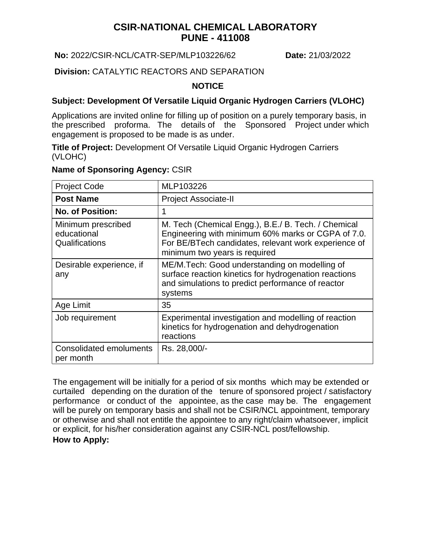# **CSIR-NATIONAL CHEMICAL LABORATORY PUNE - 411008**

**No:** 2022/CSIR-NCL/CATR-SEP/MLP103226/62 **Date:** 21/03/2022

### **Division:** CATALYTIC REACTORS AND SEPARATION

#### **NOTICE**

### **Subject: Development Of Versatile Liquid Organic Hydrogen Carriers (VLOHC)**

Applications are invited online for filling up of position on a purely temporary basis, in the prescribed proforma. The details of the Sponsored Project under which engagement is proposed to be made is as under.

**Title of Project:** Development Of Versatile Liquid Organic Hydrogen Carriers (VLOHC)

#### **Name of Sponsoring Agency:** CSIR

| <b>Project Code</b>                                 | MLP103226                                                                                                                                                                                          |
|-----------------------------------------------------|----------------------------------------------------------------------------------------------------------------------------------------------------------------------------------------------------|
| <b>Post Name</b>                                    | <b>Project Associate-II</b>                                                                                                                                                                        |
| <b>No. of Position:</b>                             |                                                                                                                                                                                                    |
| Minimum prescribed<br>educational<br>Qualifications | M. Tech (Chemical Engg.), B.E./ B. Tech. / Chemical<br>Engineering with minimum 60% marks or CGPA of 7.0.<br>For BE/BTech candidates, relevant work experience of<br>minimum two years is required |
| Desirable experience, if<br>any                     | ME/M. Tech: Good understanding on modelling of<br>surface reaction kinetics for hydrogenation reactions<br>and simulations to predict performance of reactor<br>systems                            |
| Age Limit                                           | 35                                                                                                                                                                                                 |
| Job requirement                                     | Experimental investigation and modelling of reaction<br>kinetics for hydrogenation and dehydrogenation<br>reactions                                                                                |
| <b>Consolidated emoluments</b><br>per month         | Rs. 28,000/-                                                                                                                                                                                       |

**How to Apply:** The engagement will be initially for a period of six months which may be extended or curtailed depending on the duration of the tenure of sponsored project / satisfactory performance or conduct of the appointee, as the case may be. The engagement will be purely on temporary basis and shall not be CSIR/NCL appointment, temporary or otherwise and shall not entitle the appointee to any right/claim whatsoever, implicit or explicit, for his/her consideration against any CSIR-NCL post/fellowship.